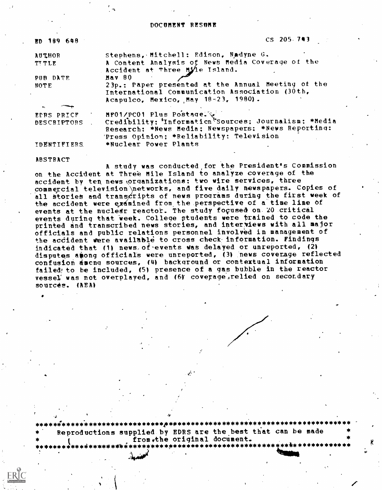DOCUMENT RESUNE

| ED 189 648         | $CS$ 205.743                                          |
|--------------------|-------------------------------------------------------|
| <b>AUTHOR</b>      | stephens, Mitchell: Edison, Nadyne G.                 |
| <b>TITLE</b>       | A Content Analysis of News Media Coverage of the      |
|                    | Accident at Three Mile Island.                        |
| PUB DATE           | May 80                                                |
| <b>NOTE</b>        | 23p.: Paper presented at the Annual Meeting of the    |
|                    | International Communication Association (30th,        |
|                    | Acapulco, Mexico, May $18-23$ , 1980).                |
| $\mathbf{a}$       |                                                       |
| EDRS PRICF         | MF01/PC01 Plus Postage.                               |
| DESCRIPTORS        | Credibility: 'Information"Sources; Journalism: *Media |
|                    | Research: *News Media: Newspapers: *News Reporting:   |
|                    | 'Press Opinion; *Reliability: Television              |
| <b>IDENTIFIERS</b> | *Nuclear Power Plants                                 |

**ABSTRACT** 

A study was conducted for the President's Commission on the Accident at Three Mile Island to analyze coverage of the accident by ten news @rganizations: two wire services, three commercial television networks, and five daily newspapers. Copies of all stories and transcripts of news programs during the first week of the accident were examined from the perspective of a time line of events at the nuclear reactor. The study focused on 20 critical events during that week. College students were trained to code the printed and transcribed news stories, and interviews with all major officials and public relations personnel involved in management of the accident were available to cross check information. Findings indicated that (1) news of events was delayed or unreported, (2) disputes abong officials were unreported, (3) news coverage reflected confusion among sources, (4) background or contextual information failed to be included, (5) presence of a gas bubble in the reactor vessel was not overplayed, and (6) coverage relied on secondary sources. (AEA)



\*\*\*\*\*\*\*\*\*\*\* Reproductions supplied by EDRS are the best that can be made from.the original document.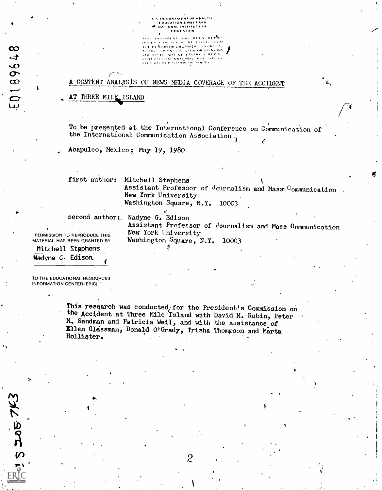OF RARTMENT OF HEALTH EDUCATION & WELFARE **ROUCATION** 

**DOCTASENT TOAS INFENCIALISM** THE CHRISTIAN TENTAL RELEASED FROM<br>THE PERNAM OR ORGANIZATION PRICES A FINGTON DE DEDICATOR OP INTONY A RENGLE DO NOT NECESSARIES REPRE T DREVERN DOZEDDA OR DOLBER.<br>21 M 1703 FERN NATIONAL INZELLUTE OF

# A CONTENT ANALYSIS OF NEWS MEDIA COVERAGE OF THE ACCIDENT

AT THREE MILE ISIAND

To be presented at the International Conference on Communication of the International Communication Association.

Acapulco, Mexico; May 19, 1980

first author: Mitchell Stephens Assistant Professor of Journalism and Mass Communication. New York University Washington Square, N.Y. 10003

Assistant Professor of Journalism and Mass Communication

10003

second author: Nadyne G. Edison

"PERMISSION TO REPRODUCE THIS MATERIAL HAS BEEN GRANTED BY Mitchell Stephens Nadyne G. Edison

 $\boldsymbol{\infty}$ 

 $\overrightarrow{r}$ 

 $\overline{Q}$  $\sigma$  $\infty$ 

سب

ίή

NS JOE 7

TO THE EDUCATIONAL RESOURCES INFORMATION CENTER (ERIC)."

> This research was conducted, for the President's Commission on the Accident at Three Mile Island with David M. Rubin, Peter M. Sandman and Patricia Weil, and with the assistance of Ellen Glassman, Donald O'Grady, Trisha Thompson and Marta Hollister.

> > 2

New York University

Washington Square, N.Y.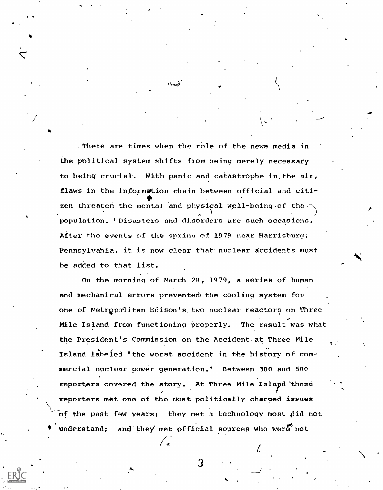There are times when the role of the news media in the political system shifts from being merely necessary to being crucial. With panic and catastrophe in the air, flaws in the information chain between official and citizen threaten the mental and physical well-being of the  $\epsilon$ population. 'Disasters and disorders are such occasions. After the events of the spring of 1979 near Harrisburg; Pennsylvahia, it is now clear that nuclear accidents must be added to that list.

(عنيته)

On the morning of March 28, 1979, a series of human and mechanical errors prevented the cooling system for one of Metropolitan Edison's, two nuclear reactors on Three Mile Island from functioning properly. The result was what the President's Commission on the Accident-at Three Mile Island labeled "the worst accident in the history of commercial nuclear power generation." Between 300 and 500 reporters covered the story. At Three Mile Islapd 'these reporters met one of the most politically charged issues of the past few years; they met a technology most did not understand; and they met official sources who were not

 $\ddot{\bullet}$ ,

.

3

 $\sqrt{a}$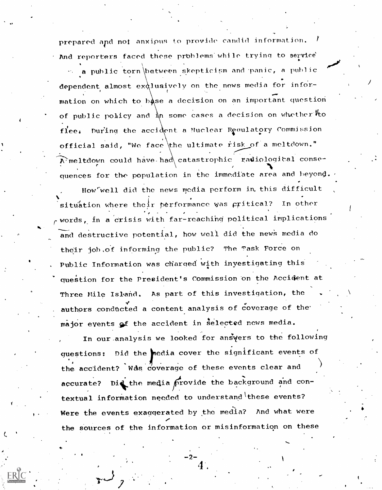prepared and not anxious to provide candid information. And reporters faced these problems while trying to service

a public torn batween skepticism and panic, a public dependent almost exclusively on the news media for information on which to base a decision on an important question of public policy and  $\ln$  some cases a decision on whether to During the accident a Muclear Requistory Commission flee. official said, "We face the ultimate risk of a meltdown." n meltdown could have had catastrophic radiological consequences for the population in the immediate area and beyond.

How well did the news media perform in this difficult situation where their performance was critical? In other  $\tau$  words, in a crisis with far-reaching political implications and destructive potential, how well did the news media do their job of informing the public? The Task Force on Public Information was charged with investigating this question for the President's Commission on the Accident at Three Mile Island. As part of this investigation, the authors conducted a content analysis of coverage of the major events of the accident in selected news media.

In our analysis we looked for answers to the following Did the media cover the significant events of questions: the accident? Was coverage of these events clear and accurate? Did the media provide the background and contextual information needed to understand these events? Were the events exaggerated by the media? And what were the sources of the information or misinformation on these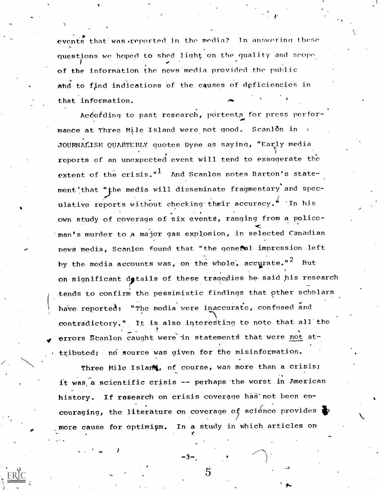events that was reported in the media? In answering these questions we hoped to shed light on the quality and scopeof the information the news media provided the public and to find indications of the causes of deficiencies in that information.

 $Ac6$ ofding to past research, portents for press performance at Three Mile Island were not good. Scanlon in  $\pm$ JOURNALISM QUARTERLY quotes Dyne as saying, "Early media reports of an unexpected event will tend to exaggerate th'e extent of the crisis."<sup>1</sup> And Scanlon notes Barton's statement'that "the media will disseminate fragmentary and speculative reports without checking their accuracy." In his own study of coverage of six events, ranging from a police-  $\prec$  . The set of  $\prec$ \man's murder to a major gas explosion, in selected Canadian news media, Scanlon found that "the general impression left by the media accounts was, on the whole, accurate."<sup>2</sup> But on significant details of these tragedies he said his research tends to confirm the pessimistic findings that other scholars have reported: "The media were inaccurate, confused and . contradictory." It is also interesting to note that all the errors Stanlon caught were in statements that were not attributed; no source was given for the misinformation.

Three Mile Island, of course, was more than a crisis; it was, a scientific crisis -- perhaps the worst in American history. If research on crisis coverage has not been encouraging, the literature on coverage of science provides  $\mathbf{\hat{i}}$ more cause for optimişm. In a study in which articles on ..

 $\overline{5}$ 

 $\blacksquare$ 

 $-3$  -3  $-3$  -3  $-3$  -3  $-3$  -3  $-3$  -3  $-3$  -3  $-3$  -3  $-3$  -3  $-3$  -3  $-3$  -3  $-3$  -3  $-3$  -3  $-3$  -3  $-3$  -3  $-3$  -3  $-3$  -3  $-3$  -3  $-3$  -3  $-3$  -3  $-3$  -3  $-3$  -3  $-3$  -3  $-3$  -3  $-3$  -3  $-3$  -3  $-3$  -3  $-3$  -3  $-3$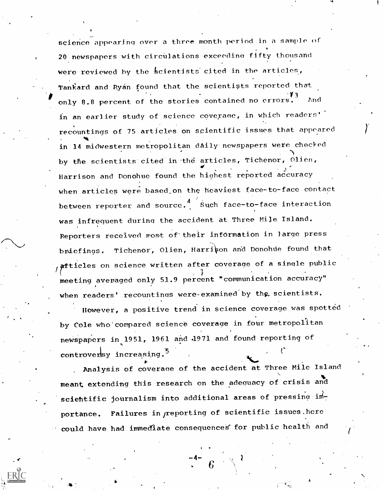science appearing over a three month period in a sample of 20 newspapers with circulations exceeding fifty thousand were reviewed by the scientists cited in the articles, Tankard and Ryan found that the scientists reported that only 8.8 percent of the stories contained no errors.  $\frac{V3}{P}$  and in an earlier study of science coverage, in which readers' recountings of 75 articles on scientific issues that appeared in 14 midwestern metropolitan daily newspapers were checked by the scientists cited in'the articles, Tichenor, Olien, Harrison and Donohue found the highest reported accuracy when articles were based on the heaviest face-to-face contact between reporter and source.<sup>4</sup> Such face-to-face interaction was infrequent during the accident at Three Mile Island. Reporters received most of their information in large press  $\sim$ briefings. Tichenor, Olien, Harribon and Donohue found that  $f$  afticles on science written after coverage of a single public meeting averaged only 51.9 percent "communication accuracy" when readers' recountings were-examined by the scientists.

 $\mathbf{x} = (x_1, \ldots, x_n)$ 

;#)

1

A

However, a positive trend in science coverage was spotted by Cole who'compared science coverage in four metropolitan newspapers in 1951, 1961 and J971 and found reporting of  $\mathcal{C}$ controversy increasing.<sup>5</sup>

, Analysis of coveraae of the accident at Three Mile Island meant extending this research on the adeauacy of crisis and sciehtific journalism into additional areas of pressing importance. Failures in *y*reporting of scientific issues.here could have had immediate consequences for public health and

 $-4-$ 

t

 $\epsilon$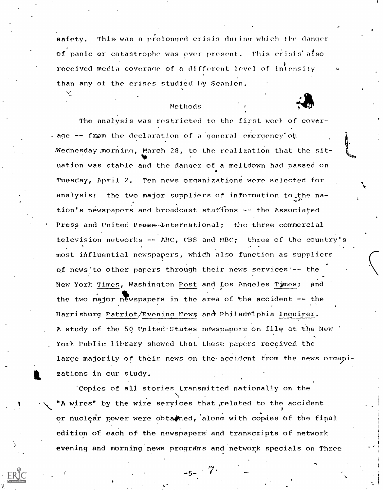safety. This. was a prolonged crisis during which the danger of panic or catastrophe was ever present. This crisis also received media coverage of a different level of intensity than any of the crises studied by Scanlon.

# Methods

The analysis was restricted to the first week of cover--age  $-$  from the declaration of a general emergency oh -Wednesday porning, March 28, to the realization that the sits\* uation was stable and the danger of a meltdown had passed on  $\bullet$  and  $\bullet$ Tuesday, April 2. Ten news organizations were selected for analysis: the two major suppliers of information to the na-4 tion's newspapers and broadcast stations -- the Associated Press and United Pross-International; the three commercial television networks -- ABC, CBS and MBC; three of the country's most influential newspapers, which also function as suppliers of news'to other papers through their news services'-- the New York Times, Washington Post and Los Angeles Times; and the two major newspapers in the area of the accident  $-$ - the Harrisburg Patriot/Evening News and Philadelphia Inquirer. A study of the 50 United States ndwspapers on file at the New York Public library showed that these papers received the large majority of their news on the accident from the news organizations in our study.

-Copies of ali stories transmitted nationally on the "A wires" by the wire services that related to the accident. or nuclear power were obtained, along with copies of the final edition of each of the newspapers' and transcripts of network evening and mornihg news programs and network specials on Three

 $-5 - 7$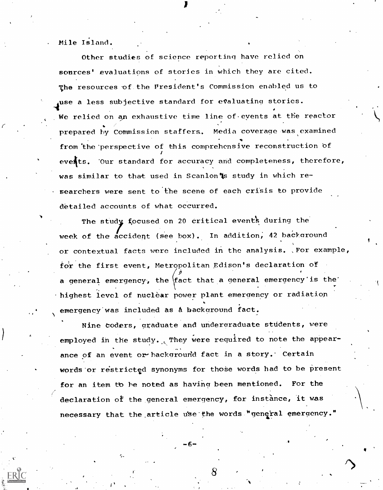Mile Island.

j

Other studies of science reporting have relied on sources' evaluations of stories in which they are cited. The resources of the President's Commission enabled us to use a less subjective standard for evaluating stories. We relied on an exhaustive time line of eyents at the reactor prepared by Commission staffers. Media coverage was examined from the perspective of this comprehensive reconstruction of events. 'Our standard for accuracy and completeness, therefore, was similar to that used in Scanlon is study in which researchers were sent to the scene of each crisis to provide detailed accounts of what occurred.

The study focused on 20 critical events during the week of the accident (see box). In addition, 42 background or contextual facts were included ih the analysis. ,For example, for the first event, Metropolitan Edison's declaration of a general emergency, the  $\frac{1}{2}$  fact that a general emergency is the . highest level of nuclear power plant emergency or radiation emergency was included as a background fact.

Nine coders, graduate and undergraduate students, were employed in the study. They were required to note the appearance of an event or hackground fact in a story. Certain words or restricted synonyms for those words had to be present for an item to be noted as having been mentioned. For the declaration of the general emergency, for instance, it was necessary that the article use the words "general emergency."

8

-6-

e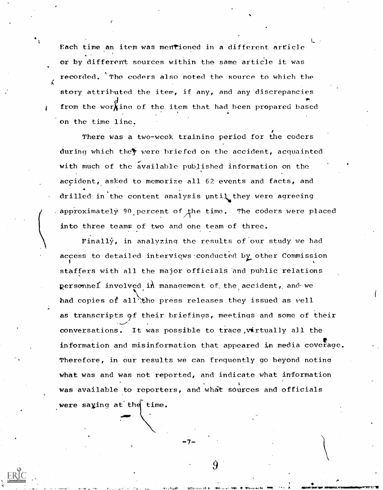Each time an item was mentioned in a different article or by different sources within the same article it was recorded. The coders also noted the source to which the story attributed the item, if any, and any discrepancies from the working of the item that had been propared based on the time line.

There was a two-week training period for the coders during which they were briefed on the accident, acquainted with much of the available published information on the accident, asked to memorize all 62 events and facts, and drilled in the content analysis until they were agreeing approximately 90 percent of the time. The coders were placed into three teams of two and one team of three.

Finally, in analyzing the results of our study we had access to detailed interviews conducted by other Commission staffers with all the major officials and public relations personnel involved in management of the accident, and we had copies of all the press releases they issued as well as transcripts of their briefings, meetings and some of their conversations. It was possible to trace wirtually all the information and misinformation that appeared in media coverage. Therefore, in our results we can frequently go beyond noting what was and was not reported, and indicate what information was available to reporters, and what sources and officials were saying at the time.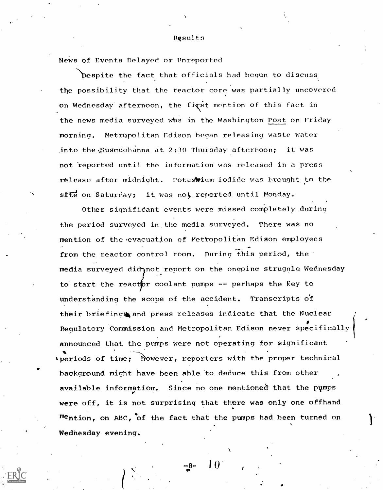#### Results

News of Events Delayed or Unreported

Despite the fact that officials had begun to discuss the possibility that the reactor core was partially uncovered on Wednesday afternoon, the first mention of this fact in the news media surveyed was in the Washington Post on Friday morning. Metrgpolitan Edison began releasing waste water into the Susquehanna at 2:30 Thursday afternoon; it was not reported until the information was released in a press release after midnight. Potastium iodide was brought to the st $t\bar{c}$  on Saturday; it was not reported until Monday.

Other signifidant events were missed completely during the period surveyed in,the media surveyed. There was no mention of the evacuation of Metropolitan Edison employees from the reactor control room. During this period, the media surveyed did not report on the ongoing struggle Wednesday to start the reactor coolant pumps -- perhaps the Key to understanding the scope of the accident. Transcripts o'f their briefings and press releases indicate that the Nuclear Regulatory Commission and Metropolitan Edison never specifically announced that the pumps were not operating for significant Av.  $\epsilon$  periods of time; however, reporters with the proper technical background might have been able 'to deduce this from other available information. Since no one mentioned that the pumps were off, it is not surprising that there was only one offhand mention, on ABC, of the fact that the pumps had been turned on Wednesday evening.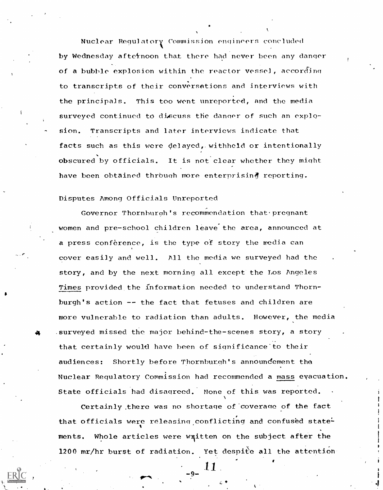Nuclear Requlatory Commission engineers concluded by Wednesday afternoon that there had never been any danger of a bubble explosion within the reactor vessel, according to transcripts of their conversetions and interviews with the principals. This too went unreported, and the media surveyed continued to discuss the danger of such an explosion. Transcripts and later interviews indicate that facts such as this were delayed, withheld or intentionally obscured by officials. It is not clear whether they might have been obtained through more enterprising reporting.

### Disputes Among Officials Unreported

Governor Thornburgh's recommendation that pregnant women and pre-school children leave the area, announced at a press conference, is the type of story the media can cover easily and well. All the media we surveyed had the story, and by the next morning all except the Los Angeles Times provided the information needed to understand Thornburgh's action -- the fact that fetuses and children are more vulnerable to radiation than adults. However, the media .surveyed missed the major behind-the-scenes story, a story that certainly would have been of significance'to their audiences: Shortly before Thornburgh's announdement tho Nuclear Regulatory Commission had recommended a mass eyacuation. State officials had disagreed. None of this was reported.

Certainly there was no shortage of coverage of the fact that officials were releasing conflicting and confused statements. Whole articles were wnitten on the subject after the 1200 mr/hr burst of radiation. Yet despite all the attention

-9--

 $11$ 

7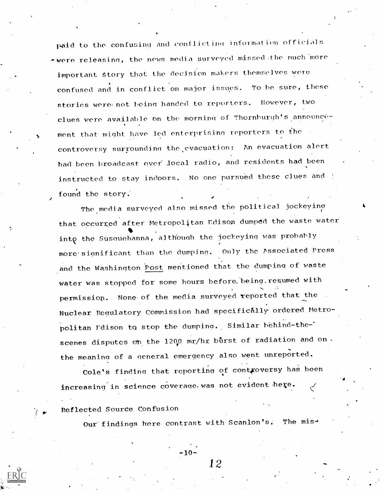paid to the confusing and conflicting information officials .-were releasing, the news media surveyed missed.the mucli'more important story that the decision makers themselves were confused and in conflict on major issues. To be sure, these stories were not being handed to reporters. However, two clues were available on the morning of Thornburgh's announce-. ment that might have led enterprising reporters to fhe controversy surrounding the evacuation: An evacuation alert had been broadcast over local radio, and residents had been instructed to stay indoors. No one pursued these clues and found the story.

The media surveyed also missed the political jockeying that occurred after Metropolitan Edison dumped the waste water intp the Susquehanna, although the jockeying was probably more significant than the dumping. Only the Associated Press and the Washington Post mentioned that the dumping of waste water was stopped for some hours before. being, resumed with permission. None of the media surveyed reported that the Nuclear Regulatory Commission had specifically ordered Metropolitan Fdison to stop the dumping. Similar behind-the-' scenes disputes on the 1200 mr/hr burst of radiation and onthe meaning of a general emergency also went unreported.

Cole's finding that reporting of controversy has been increasing in science coverage was not evident here.

-10-

Reflected Source confusion

Our findings here contrast with Scanlon's. The mis-

, and the contract of  $\overline{12}$ 

'4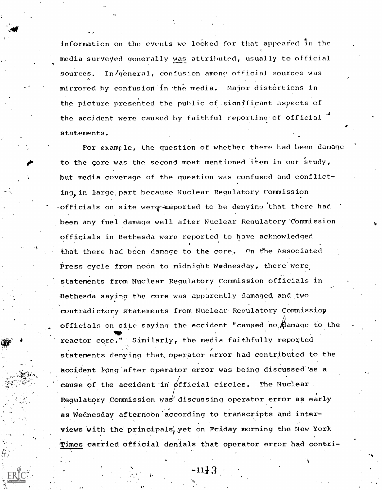information on the events we looked for that appeared in the media surveyed generally was attributed, usually to official sources. In/general, confusion among official sources was mirrored by confusion in the media. Major distortions in the picture presented the public of significant aspects of the accident were caused by faithful reporting of official statements.

I.

 $\mathbf{0}$ 

Andrew March

For example, the question of whether there had been damage to the core was the second most mentioned item in our study, but media coverage of the question was confused and conflicting,in large,part because Nuclear Regulatory Commission officials on site wer<del>e reported to be denying that there had</del> been any fuel damage well after Nuclear Regulatory 'Commission officials in Bethesda were reported, to have acknowledged that there had been damage to the core. On the Associated Press cycle from noon to midnight Wednesday, there were statements from Nuclear Regulatory Commission officials in Bethesda sayina the core was apparently damaged and two contradictory statements from Nuclear Regulatory Commissiop officials on site saying the accident "caused no,  $\not$  amage to the **MP** reactor core." Similarly, the media faithfully reported statements denying that, operator error had contributed to the accident long after operator error was being discussed 'as a cause of the accident in  $\phi$ fficial circles. The Nuclear Regulatory Commission was discussing operator error as early as Wednesday afternoon according to transcripts and interviews with the principals, yet on Friday morning the New York Times carried official denials that operator error had contri-

 $-117.3$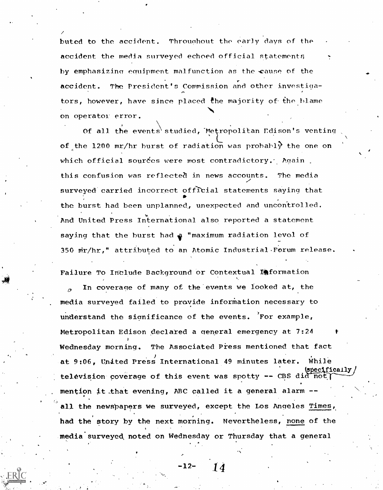buted to the accident. Throughout the early days of the accident the media surveyed echoed official statements by emphasizing equipment malfunction as the-cause of the accident. The President's Commission and other investiqators, however, have since placed the majority of the blame NN on operator error.

Of all the events studied, Metropolitan Edison's venting of the 1200 mr/hr burst of radiation was probably the one on which official sources were most contradictory. Again. this confusion was reflected in news accounts. The media surveyed carried incorrect official statements saying that the burst had been unplanned, unexpected and uncontrolled. And United Press International also reported a statement saying that the burst had a "maximum radiation levol of 350 nir/hr," attributed to an Atomic Industrial.Forum release.

Failure To Include Background or Contextual Information

In coverage of many of the'events we looked at, the media surveyed failed to pravide information necessary to understand the significance of the events. For example, Metropolitan Edison declared a general emergency at 7:24  $\mathbf{r}$ Wednesday morning. The Associated Press mentioned that fact at 9:06, United Press International 49 minutes later. While  $% \left( \Delta \left( \mathbf{f} \right) \right)$ television coverage of this event was spotty -- CBS did not) mention it that evening, ABC called it a general alarm -all the newspapers we surveyed, except the Los Angeles Times, had the story by the next morning. Nevertheless, none of the media'surveyed noted on Wednesday or Thursday that a general

 $-12-$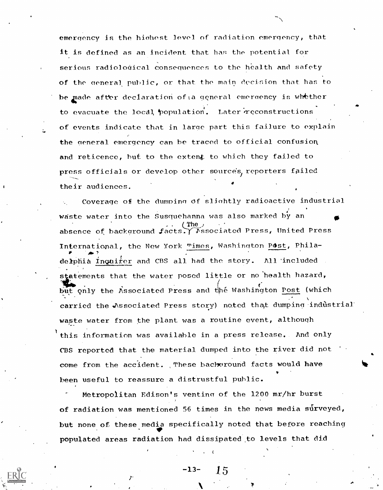emergency is the highest level of radiation emergency, that it is defined as an incident that has the potential for serious radiological consequences to the health and safety of the general public, or that the main decision that has to be made after declaration ofta general emergency is whether to evacuate the local population. Later reconstructions of events indicate that in large part this failure to explain the general emergency can be traced to official confusion. and reticence, but to the extent to which they failed to press officials or develop other source's, reporters failed their audiences.

Coverage of the dumpinn of slinhtly radioactive industrial waste water into the Susquehanna was also marked by an absence of background facts. TAssociated Press, United Press International, the New York mimes, Washington P4st, Philas% delphia Inquirer and CBS all had the story. All included statements that the water posed little or no health hazard, but only the Associated Press and the Washington Post (which carried the Associated Press story) noted that dumping industrial waste water from the plant was a routine event, although this information was available in a press release. And only CBS reported that the material dumped into the river did not come from the accident. These background facts would have been useful to reassure a distrustful public.

Metropolitan Edison's ventina of the 1200 mr/hr burst of radiation was mentioned 56 times in the news media surveyed, but none of these media specifically noted that before reaching populated areas radiation had dissipated .to levels that did

 $-13 - 15$ 

 $\mathcal{F}^{\text{max}}$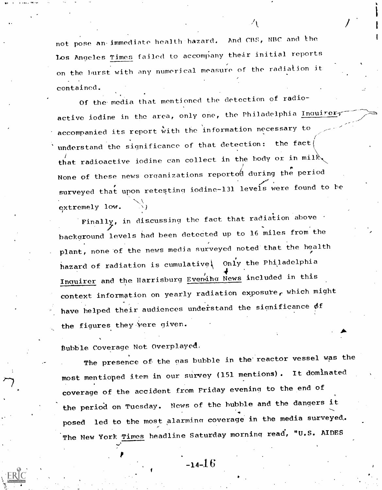not pose an.immediate health hazard. And CBS, NBC and the Los Angeles Times failed to accompany their initial reports on the burst with any numerical measure of the radiation it contained.

Of the media that mentioned the detection of radioactive iodine in the area, only one, the Philadelphia Inquirer accompanied its report with the information necessary to understand the significance of that detection: the fact that radioactive iodine can collect in the body or in milk None of these news organizations report $d$ d during the period  $\ddot{\phantom{1}}$ surveyed that upon retesting iodine-131 levels were found to be extremely low.

Finally, in discussing the fact that radiation above background levels had been detected up to 16 miles from the plant, none of the news media surveyed noted that the health hazard of radiation is cumulative. Only the Philadelphia  $\ddot{=}$   $\ddot{ }$ Inquirer and the Harrisburg Evening News included in this context information on yearly radiation exposure, which might have helped their audiences understand the significance  $\phi f$ the figures they were given.

Bubble Coverage Not Overplayed,

MI <sup>I</sup>

<sup>I</sup> I.,. 44

The presence of the gas bubble in the'reactor vessel was the most mentioped item in our survey (151 mentions) . It domlnated coverage of the accident from Friday evening to the end of the period on Tuesday. News of the bubble and the dangers it posed led to the most alarming coverage in the media surveyed, The New York Times headline Saturday morning read, "U.S. AIDES

 $-14-16$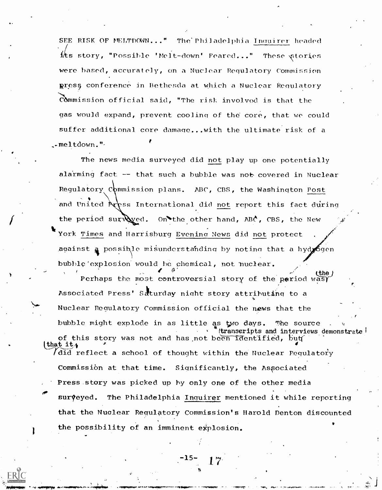SEE RISK OF MELTDOWN..." The'Philadelphia Inquirer headed / i/ts story, "Possible 'Melt-down' Feared..." These gtories were based, accurately, on a Nuclear Regulatory Commission press conference in Bethesda at which a Nuclear Regulatory Commission official said, "The risk involvod is that the gas would expand, prevent cooling of the core, that we could suffer additional core damage...with the ultimate risk of a .-meltdown."

The news media surveyed did not play up one potentially alarming fact  $-$  that such a bubble was not covered in Nuclear Regulatory Commission plans. ABC, CBS, the Washington Post and United Press International did not report this fact during the period sur $\mathbb{Q}_Y$ ed. On the other hand, ABC, CBS, the New York Times and Harrisburg Evening News did not protect against a possible misunderstahding by noting that a hydpogen bubble'explosion would be chemical, not nuclear.

 $\mathcal{C}_j$  $\tau$ ne  $\mu$ Perhaps the most controversial story of the period was Associated Press' Saturday night story attributing to a Nuclear Regulatory Commission official the news that the bubble might explode in as little as two days. The source  $\tt{transcripts}$  and interviews demonstrate  $^{\dagger}$ of this story was not and has not been identified, but  $|$ that it $_A$  $\int$ did reflect a school of thought within the Nuclear Pequlatory Commission at that time. Significantly, the Associated Press.story was picked up by only one of the other media surveyed. The Philadelphia Inquirer mentioned it while reporting that the Nuclear Regulatory Commission's Harold Denton discounted the possibility of an imminent explosion.

 $-15-17$ 

1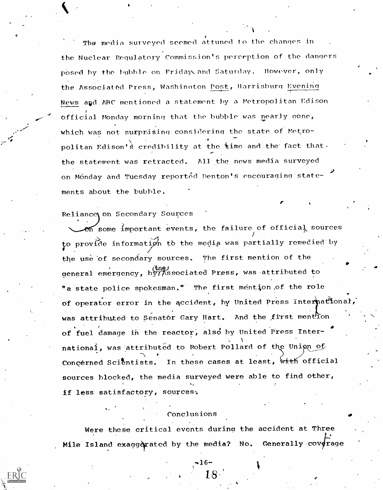The media surveyed seemed attuned to the changes in the Nuclear Regulatory Commission's perception of the dangers posed by the bubble on Friday. and Saturday. However, only the Associated Press, Washington Post, Harrisburg Evening News and ABC mentioned a statement by a Metropolitan Edison official Monday morning that the bubble was nearly gone, which was not surprising considering the state of Metropolitan Edison's credihility at the time and the fact that, the statement was retracted. All the news media surveyed on Monday and Tuesday reported Denton's encouraging statements about the bubble.

Reliance on Secondary Sources

on some important events, the failure of official sources  $\blacksquare$ to provide information to the media was partially remedied by the use of secondary sources. The first mention of the general emergency, by the sociated Press, was attributed to "a state police spokesman." The first mention of the role of operator error in the accident, by United Press International, was attributed to Senator Gary Hart. And the first mention of fuel damage in the reactor, also by United Press International, was attributed to Robert Pollard of the Union of Concerned Scientists. In these cases at least, with official sources blocked, the media surveyed were able to find other, if less satisfactory, sources:

# Conclusions

Were these critical events during the accident at Three Mile Island exaggerated by the media? No. Generally  $cov\phi$ rage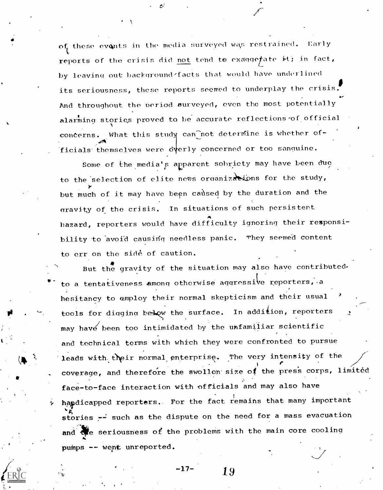of these evonts in the media surveyed was restrained. Early reports of the crisis did not tend to exaggetate it; in fact, by leaving out background'facts that would have underlined its seriousness, these reports seemed to underplay the crisis. And throughout the period surveyed, even the most potentially alarming stories proved to be accurate reflections of official concerns. What this study can not determine is whether of-. ficials themselves were overly concerned or too sanguine.

s

Some of the media's apparent sobriety may have been due to the selection of elite news organizations for the study, but much of it may have been caused by the duration and the gravity of the crisis. In situations of such persistent hazard, reporters would have difficulty ignoring their responsibility to avoid causing needless panic. They seemed content to err on the side of caution.

to a tentativeness among otherwise aggressive reporters, a But the gravity of the situation may also have contributedhesitancy to employ their normal skepticism and their usual tools for digging below the surface. In addition, reporters may have been too intimidated by the unfamiliar scientific and technical terms with which they were confronted to pursue leads with their normal enterprise. The very intensity of the coverage, and therefore the swollen size of the press corps, limited face-to-face interaction with officials and may also have hapdicapped reporters. For the fact remains that many important stories  $-$  such as the dispute on the need for a mass evacuation and  $\overline{\mathbf{Q}}$  seriousness of the problems with the main core cooling pumps -- went unreported.

 $\frac{19}{19}$ 

1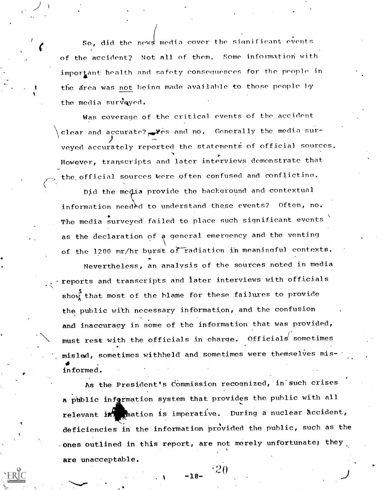55 metri a So, did the news media cover the significant events of the accident? Not all of them. Some information with important health and safety consequences for the people in the drea was not being made available to those people by the media surveyed.

Was coverage of the critical events of the accident clear and accurate? $\blacktriangleright$ es and no. Generally the media surveyed accurately reported the statements of official sources. However, transcripts and later interviews demonstrate that the official sources were often confused and conflicting.

Did the media provide the background and contextual information needed to understand these events? Often, no. The media surveyed failed to place such significant events as the declaration of a general emergency and the venting of the  $1200$  mr/hr burst of radiation in meaningful contexts.

Nevertheless, an analysis of the sources noted in media 'reports and transcripts and later interviews with officials show that most of the blame for these failures to provide the public with necessary information, and the confusion and inaccuracy in some of the information that was provided, must rest with the officials in charge. Officials sometimes misled, sometimes withheld and sometimes were themselves misinformed.

As the President's Commission recognized, in such crises a public information system that provides the public with all relevant in mation is imperative. During a nuclear accident, deficiencies in the information provided the public, such as the ones outlined in this report, are not merely unfortunate; they are unacceptable.

.21

-18-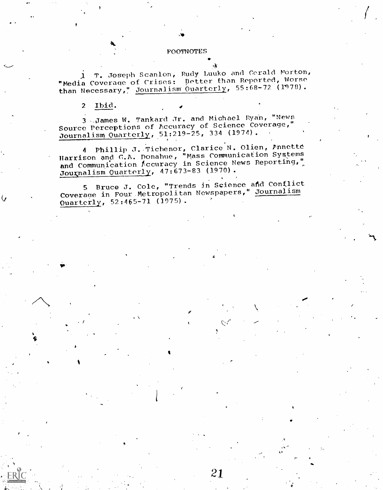# FOOTNOTES

S.

 $\mathcal{A}$ .1 T. Joseph Scanlon, Rudy Luuko and Cerald Morton, 1 T. Joseph Scanfon, Rudy Lucko and Geraid Porton, than Necessary," Journalism Quarterly, 55:68-72 (1978).

2 Ibid.

v

( ∕

 $\bullet$  and the set of  $\bullet$ 

 $\mathbf{x}$  and  $\mathbf{x}$ 

3 -\_James W. Tankard Jr. and Michael Ryan, "News Source Perceptions of Accuracy of Science Coverage," Journalism Quarterly, 51:219-25, 334 (1974).

4 Phillip J. Tichenor, Clarice N. Olien, Annette Harrison and G.A. Donahue, "Mass Communication Systems and Communication Accuracy in Science News Reporting," Journalism Quarterly, 47:673-83 (1970).

5 Bruce J. Cole, "Trends in Science and Conflict Coverage in Four Metropolitan Newspapers," Journalism Quarterly, 52:465-71 (1975).

 $\phi$  and  $\phi$ 

ir

21

 $\hat{X}^{(n)}$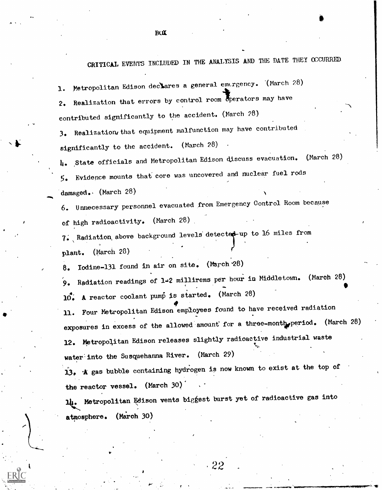VSTS AND THE DATE THEY OCCURRED.

|          | CRITICAL EVENTS INCLUDED IN THE ARADIOLO ARD HIS DAID HIST CO.                 |
|----------|--------------------------------------------------------------------------------|
| l.       | Metropolitan Edison declares a general emergency. (March 28)                   |
|          | 2. Realization that errors by control room operators may have                  |
|          | contributed significantly to the accident. (March 28)                          |
| з.       | Realization, that equipment malfunction may have contributed                   |
|          | significantly to the accident. (March 28)                                      |
|          | 4. State officials and Metropolitan Edison discuss evacuation. (March 28)      |
| 5.       | Evidence mounts that core was uncovered and nuclear fuel rods                  |
|          | damaged. $(March 28)$                                                          |
| 6.       | Unnecessary personnel evacuated from Emergency Control Room because            |
|          | of high radioactivity. (March 28)                                              |
|          | 7. Radiation above background levels detected up to 16 miles from              |
|          | (March $28$ )<br>plant.                                                        |
| $8\cdot$ | Iodine-131 found in air on site. (March 28)                                    |
| 9.       | Radiation readings of 1-2 millirems per hour in Middletown. (March 28)         |
|          | 10. A reactor coolant pump is started. (March 28)                              |
|          | Four Metropolitan Edison employees found to have received radiation<br>11.     |
|          | exposures in excess of the allowed amount for a three-month period. (March 28) |
|          | 12. Metropolitan Edison releases slightly radioactive industrial waste         |
|          | water into the Susquehanna River. (March 29)                                   |
|          | 13. A gas bubble containing hydrogen is now known to exist at the top of       |
|          | the reactor vessel. (March 30)                                                 |
|          | 14. Metropolitan Edison vents biggest burst yet of radioactive gas into        |
|          | (March 30)<br>atmosphere.                                                      |
|          |                                                                                |

BuY

.,.

22

.1